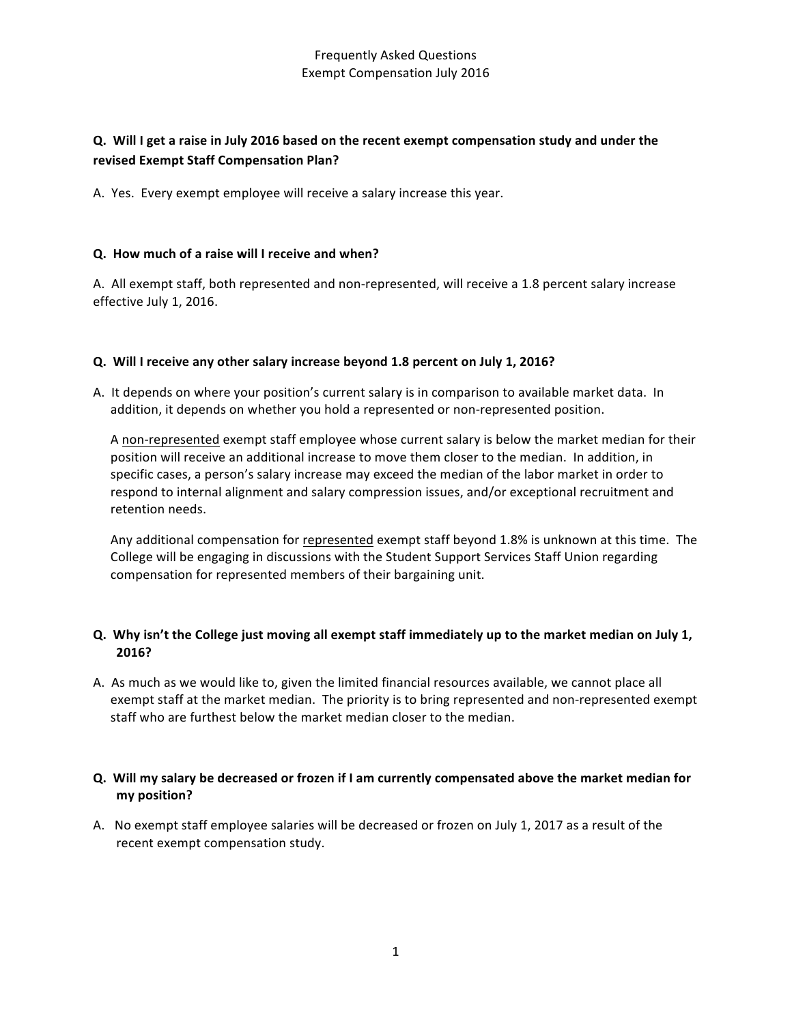# **Q.** Will I get a raise in July 2016 based on the recent exempt compensation study and under the **revised Exempt Staff Compensation Plan?**

A. Yes. Every exempt employee will receive a salary increase this year.

#### **Q. How much of a raise will I receive and when?**

A. All exempt staff, both represented and non-represented, will receive a 1.8 percent salary increase effective July 1, 2016.

#### **Q. Will I receive any other salary increase beyond 1.8 percent on July 1, 2016?**

A. It depends on where your position's current salary is in comparison to available market data. In addition, it depends on whether you hold a represented or non-represented position.

A non-represented exempt staff employee whose current salary is below the market median for their position will receive an additional increase to move them closer to the median. In addition, in specific cases, a person's salary increase may exceed the median of the labor market in order to respond to internal alignment and salary compression issues, and/or exceptional recruitment and retention needs.

Any additional compensation for represented exempt staff beyond 1.8% is unknown at this time. The College will be engaging in discussions with the Student Support Services Staff Union regarding compensation for represented members of their bargaining unit.

#### **Q.** Why isn't the College just moving all exempt staff immediately up to the market median on July 1, **2016?**

A. As much as we would like to, given the limited financial resources available, we cannot place all exempt staff at the market median. The priority is to bring represented and non-represented exempt staff who are furthest below the market median closer to the median.

### **Q. Will my salary be decreased or frozen if I am currently compensated above the market median for my position?**

A. No exempt staff employee salaries will be decreased or frozen on July 1, 2017 as a result of the recent exempt compensation study.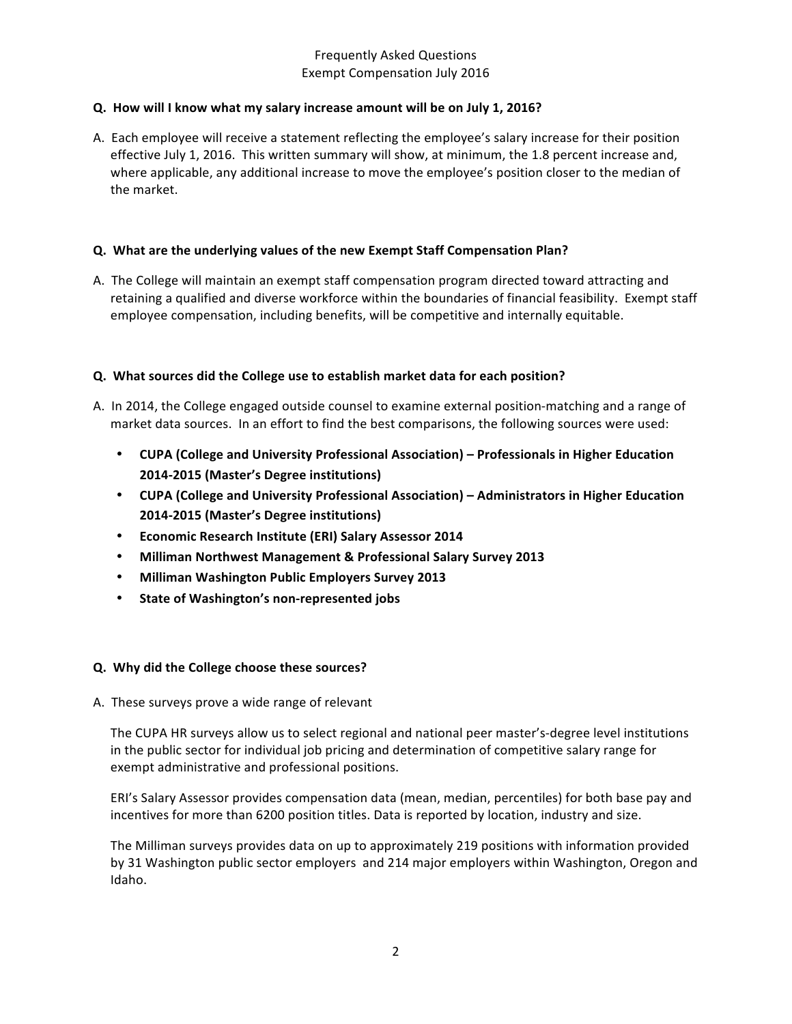### **Q.** How will I know what my salary increase amount will be on July 1, 2016?

A. Each employee will receive a statement reflecting the employee's salary increase for their position effective July 1, 2016. This written summary will show, at minimum, the 1.8 percent increase and, where applicable, any additional increase to move the employee's position closer to the median of the market.

### **Q.** What are the underlying values of the new Exempt Staff Compensation Plan?

A. The College will maintain an exempt staff compensation program directed toward attracting and retaining a qualified and diverse workforce within the boundaries of financial feasibility. Exempt staff employee compensation, including benefits, will be competitive and internally equitable.

### **Q. What sources did the College use to establish market data for each position?**

- A. In 2014, the College engaged outside counsel to examine external position-matching and a range of market data sources. In an effort to find the best comparisons, the following sources were used:
	- **CUPA (College and University Professional Association) Professionals in Higher Education 2014-2015 (Master's Degree institutions)**
	- CUPA (College and University Professional Association) Administrators in Higher Education **2014-2015 (Master's Degree institutions)**
	- **•** Economic Research Institute (ERI) Salary Assessor 2014
	- **Milliman Northwest Management & Professional Salary Survey 2013**
	- **Milliman Washington Public Employers Survey 2013**
	- **State of Washington's non-represented jobs**

#### **Q. Why did the College choose these sources?**

A. These surveys prove a wide range of relevant

The CUPA HR surveys allow us to select regional and national peer master's-degree level institutions in the public sector for individual job pricing and determination of competitive salary range for exempt administrative and professional positions.

ERI's Salary Assessor provides compensation data (mean, median, percentiles) for both base pay and incentives for more than 6200 position titles. Data is reported by location, industry and size.

The Milliman surveys provides data on up to approximately 219 positions with information provided by 31 Washington public sector employers and 214 major employers within Washington, Oregon and Idaho.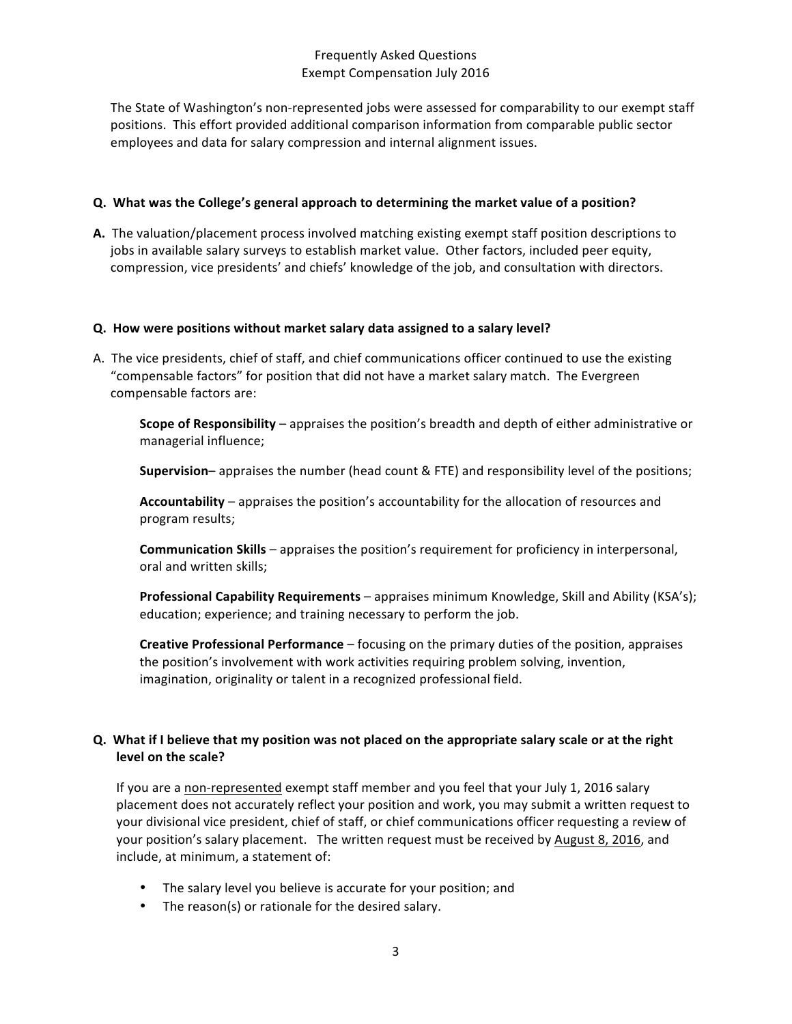The State of Washington's non-represented jobs were assessed for comparability to our exempt staff positions. This effort provided additional comparison information from comparable public sector employees and data for salary compression and internal alignment issues.

#### **Q.** What was the College's general approach to determining the market value of a position?

A. The valuation/placement process involved matching existing exempt staff position descriptions to jobs in available salary surveys to establish market value. Other factors, included peer equity, compression, vice presidents' and chiefs' knowledge of the job, and consultation with directors.

#### **Q. How were positions without market salary data assigned to a salary level?**

A. The vice presidents, chief of staff, and chief communications officer continued to use the existing "compensable factors" for position that did not have a market salary match. The Evergreen compensable factors are:

**Scope of Responsibility** – appraises the position's breadth and depth of either administrative or managerial influence;

**Supervision**– appraises the number (head count & FTE) and responsibility level of the positions;

**Accountability** – appraises the position's accountability for the allocation of resources and program results;

**Communication Skills** – appraises the position's requirement for proficiency in interpersonal, oral and written skills;

**Professional Capability Requirements** – appraises minimum Knowledge, Skill and Ability (KSA's); education; experience; and training necessary to perform the job.

**Creative Professional Performance** – focusing on the primary duties of the position, appraises the position's involvement with work activities requiring problem solving, invention, imagination, originality or talent in a recognized professional field.

# **Q.** What if I believe that my position was not placed on the appropriate salary scale or at the right level on the scale?

If you are a non-represented exempt staff member and you feel that your July 1, 2016 salary placement does not accurately reflect your position and work, you may submit a written request to your divisional vice president, chief of staff, or chief communications officer requesting a review of your position's salary placement. The written request must be received by August 8, 2016, and include, at minimum, a statement of:

- The salary level you believe is accurate for your position; and
- The reason(s) or rationale for the desired salary.